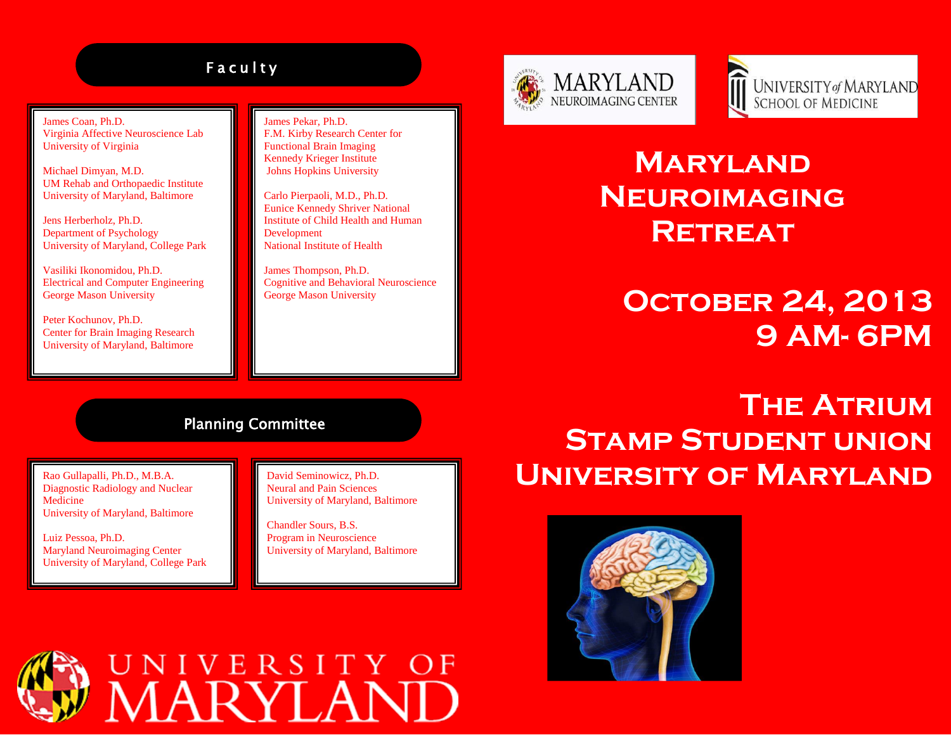### **Faculty**

James Coan, Ph.D. Virginia Affective Neuroscience Lab University of Virginia

Michael Dimyan, M.D. UM Rehab and Orthopaedic Institute University of Maryland, Baltimore

Jens Herberholz, Ph.D. Department of Psychology University of Maryland, College Park

Vasiliki Ikonomidou, Ph.D. Electrical and Computer Engineering George Mason University

Peter Kochunov, Ph.D. Center for Brain Imaging Research University of Maryland, Baltimore

James Pekar, Ph.D. F.M. Kirby Research Center for Functional Brain Imaging Kennedy Krieger Institute Johns Hopkins University

Carlo Pierpaoli, M.D., Ph.D. Eunice Kennedy Shriver National Institute of Child Health and Human Development National Institute of Health

James Thompson, Ph.D. Cognitive and Behavioral Neuroscience George Mason University





## **Maryland Neuroimaging Retreat**

## **October 24, 2013 9 AM- 6PM**

#### Planning Committee

Rao Gullapalli, Ph.D., M.B.A. Diagnostic Radiology and Nuclear Medicine University of Maryland, Baltimore

Luiz Pessoa, Ph.D. Maryland Neuroimaging Center University of Maryland, College Park David Seminowicz, Ph.D. Neural and Pain Sciences University of Maryland, Baltimore

Chandler Sours, B.S. Program in Neuroscience University of Maryland, Baltimore

# **The Atrium Stamp Student union University of Maryland**